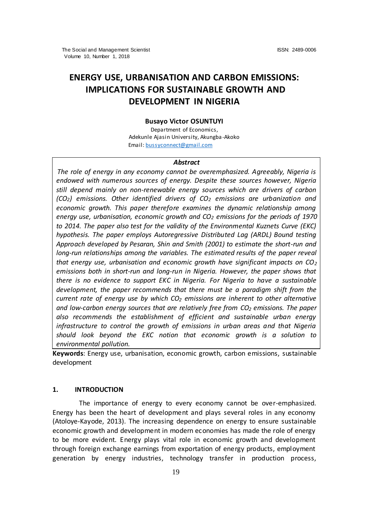# **ENERGY USE, URBANISATION AND CARBON EMISSIONS: IMPLICATIONS FOR SUSTAINABLE GROWTH AND DEVELOPMENT IN NIGERIA**

#### **Busayo Victor OSUNTUYI**

Department of Economics, Adekunle Ajasin University, Akungba-Akoko Email[: bussyconnect@gmail.com](mailto:bussyconnect@gmail.com)

#### *Abstract*

*The role of energy in any economy cannot be overemphasized. Agreeably, Nigeria is endowed with numerous sources of energy. Despite these sources however, Nigeria still depend mainly on non-renewable energy sources which are drivers of carbon (CO2) emissions. Other identified drivers of CO<sup>2</sup> emissions are urbanization and economic growth. This paper therefore examines the dynamic relationship among energy use, urbanisation, economic growth and CO<sup>2</sup> emissions for the periods of 1970 to 2014. The paper also test for the validity of the Environmental Kuznets Curve (EKC) hypothesis. The paper employs Autoregressive Distributed Lag (ARDL) Bound testing Approach developed by Pesaran, Shin and Smith (2001) to estimate the short-run and long-run relationships among the variables. The estimated results of the paper reveal that energy use, urbanisation and economic growth have significant impacts on CO<sup>2</sup> emissions both in short-run and long-run in Nigeria. However, the paper shows that there is no evidence to support EKC in Nigeria. For Nigeria to have a sustainable development, the paper recommends that there must be a paradigm shift from the current rate of energy use by which CO<sup>2</sup> emissions are inherent to other alternative and low-carbon energy sources that are relatively free from CO<sup>2</sup> emissions. The paper also recommends the establishment of efficient and sustainable urban energy infrastructure to control the growth of emissions in urban areas and that Nigeria should look beyond the EKC notion that economic growth is a solution to environmental pollution.*

**Keywords**: Energy use, urbanisation, economic growth, carbon emissions, sustainable development

## **1. INTRODUCTION**

The importance of energy to every economy cannot be over-emphasized. Energy has been the heart of development and plays several roles in any economy (Atoloye-Kayode, 2013). The increasing dependence on energy to ensure sustainable economic growth and development in modern economies has made the role of energy to be more evident. Energy plays vital role in economic growth and development through foreign exchange earnings from exportation of energy products, employment generation by energy industries, technology transfer in production process,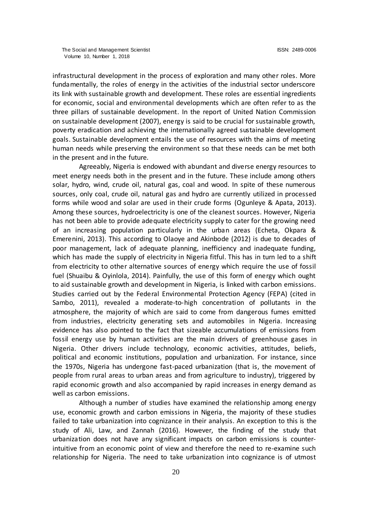infrastructural development in the process of exploration and many other roles. More fundamentally, the roles of energy in the activities of the industrial sector underscore its link with sustainable growth and development. These roles are essential ingredients for economic, social and environmental developments which are often refer to as the three pillars of sustainable development. In the report of United Nation Commission on sustainable development (2007), energy is said to be crucial for sustainable growth, poverty eradication and achieving the internationally agreed sustainable development goals. Sustainable development entails the use of resources with the aims of meeting human needs while preserving the environment so that these needs can be met both in the present and in the future.

Agreeably, Nigeria is endowed with abundant and diverse energy resources to meet energy needs both in the present and in the future. These include among others solar, hydro, wind, crude oil, natural gas, coal and wood. In spite of these numerous sources, only coal, crude oil, natural gas and hydro are currently utilized in processed forms while wood and solar are used in their crude forms (Ogunleye & Apata, 2013). Among these sources, hydroelectricity is one of the cleanest sources. However, Nigeria has not been able to provide adequate electricity supply to cater for the growing need of an increasing population particularly in the urban areas (Echeta, Okpara & Emerenini, 2013). This according to Olaoye and Akinbode (2012) is due to decades of poor management, lack of adequate planning, inefficiency and inadequate funding, which has made the supply of electricity in Nigeria fitful. This has in turn led to a shift from electricity to other alternative sources of energy which require the use of fossil fuel (Shuaibu & Oyinlola, 2014). Painfully, the use of this form of energy which ought to aid sustainable growth and development in Nigeria, is linked with carbon emissions. Studies carried out by the Federal Environmental Protection Agency (FEPA) (cited in Sambo, 2011), revealed a moderate-to-high concentration of pollutants in the atmosphere, the majority of which are said to come from dangerous fumes emitted from industries, electricity generating sets and automobiles in Nigeria. Increasing evidence has also pointed to the fact that sizeable accumulations of emissions from fossil energy use by human activities are the main drivers of greenhouse gases in Nigeria. Other drivers include technology, economic activities, attitudes, beliefs, political and economic institutions, population and urbanization. For instance, since the 1970s, Nigeria has undergone fast-paced urbanization (that is, the movement of people from rural areas to urban areas and from agriculture to industry), triggered by rapid economic growth and also accompanied by rapid increases in energy demand as well as carbon emissions.

Although a number of studies have examined the relationship among energy use, economic growth and carbon emissions in Nigeria, the majority of these studies failed to take urbanization into cognizance in their analysis. An exception to this is the study of Ali, Law, and Zannah (2016). However, the finding of the study that urbanization does not have any significant impacts on carbon emissions is counterintuitive from an economic point of view and therefore the need to re-examine such relationship for Nigeria. The need to take urbanization into cognizance is of utmost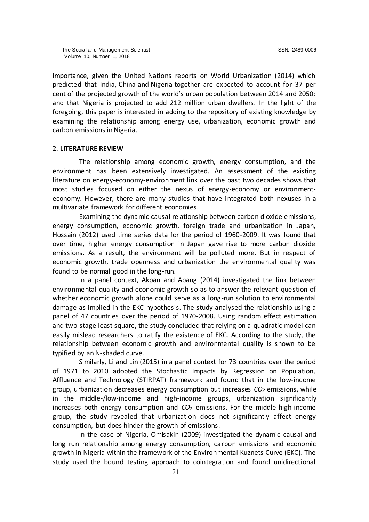importance, given the United Nations reports on World Urbanization (2014) which predicted that India, China and Nigeria together are expected to account for 37 per cent of the projected growth of the world's urban population between 2014 and 2050; and that Nigeria is projected to add 212 million urban dwellers. In the light of the foregoing, this paper is interested in adding to the repository of existing knowledge by examining the relationship among energy use, urbanization, economic growth and carbon emissions in Nigeria.

# 2. **LITERATURE REVIEW**

The relationship among economic growth, energy consumption, and the environment has been extensively investigated. An assessment of the existing literature on energy-economy-environment link over the past two decades shows that most studies focused on either the nexus of energy-economy or environmenteconomy. However, there are many studies that have integrated both nexuses in a multivariate framework for different economies.

Examining the dynamic causal relationship between carbon dioxide emissions, energy consumption, economic growth, foreign trade and urbanization in Japan, Hossain (2012) used time series data for the period of 1960-2009. It was found that over time, higher energy consumption in Japan gave rise to more carbon dioxide emissions. As a result, the environment will be polluted more. But in respect of economic growth, trade openness and urbanization the environmental quality was found to be normal good in the long-run.

In a panel context, Akpan and Abang (2014) investigated the link between environmental quality and economic growth so as to answer the relevant question of whether economic growth alone could serve as a long-run solution to environmental damage as implied in the EKC hypothesis. The study analysed the relationship using a panel of 47 countries over the period of 1970-2008. Using random effect estimation and two-stage least square, the study concluded that relying on a quadratic model can easily mislead researchers to ratify the existence of EKC. According to the study, the relationship between economic growth and environmental quality is shown to be typified by an N-shaded curve.

Similarly, Li and Lin (2015) in a panel context for 73 countries over the period of 1971 to 2010 adopted the Stochastic Impacts by Regression on Population, Affluence and Technology (STIRPAT) framework and found that in the low-income group, urbanization decreases energy consumption but increases *CO<sup>2</sup>* emissions, while in the middle-/low-income and high-income groups, urbanization significantly increases both energy consumption and *CO<sup>2</sup>* emissions. For the middle-high-income group, the study revealed that urbanization does not significantly affect energy consumption, but does hinder the growth of emissions.

In the case of Nigeria, Omisakin (2009) investigated the dynamic causal and long run relationship among energy consumption, carbon emissions and economic growth in Nigeria within the framework of the Environmental Kuznets Curve (EKC). The study used the bound testing approach to cointegration and found unidirectional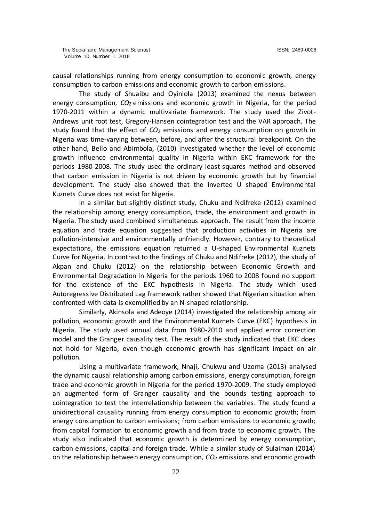causal relationships running from energy consumption to economic growth, energy consumption to carbon emissions and economic growth to carbon emissions.

The study of Shuaibu and Oyinlola (2013) examined the nexus between energy consumption, *CO<sup>2</sup>* emissions and economic growth in Nigeria, for the period 1970-2011 within a dynamic multivariate framework. The study used the Zivot-Andrews unit root test, Gregory-Hansen cointegration test and the VAR approach. The study found that the effect of *CO<sup>2</sup>* emissions and energy consumption on growth in Nigeria was time-varying between, before, and after the structural breakpoint. On the other hand, Bello and Abimbola, (2010) investigated whether the level of economic growth influence environmental quality in Nigeria within EKC framework for the periods 1980-2008. The study used the ordinary least squares method and observed that carbon emission in Nigeria is not driven by economic growth but by financial development. The study also showed that the inverted U shaped Environmental Kuznets Curve does not exist for Nigeria.

In a similar but slightly distinct study, Chuku and Ndifreke (2012) examined the relationship among energy consumption, trade, the environment and growth in Nigeria. The study used combined simultaneous approach. The result from the income equation and trade equation suggested that production activities in Nigeria are pollution-intensive and environmentally unfriendly. However, contrary to theoretical expectations, the emissions equation returned a U-shaped Environmental Kuznets Curve for Nigeria. In contrast to the findings of Chuku and Ndifreke (2012), the study of Akpan and Chuku (2012) on the relationship between Economic Growth and Environmental Degradation in Nigeria for the periods 1960 to 2008 found no support for the existence of the EKC hypothesis in Nigeria. The study which used Autoregressive Distributed Lag framework rather showed that Nigerian situation when confronted with data is exemplified by an N-shaped relationship.

Similarly, Akinsola and Adeoye (2014) investigated the relationship among air pollution, economic growth and the Environmental Kuznets Curve (EKC) hypothesis in Nigeria. The study used annual data from 1980-2010 and applied error correction model and the Granger causality test. The result of the study indicated that EKC does not hold for Nigeria, even though economic growth has significant impact on air pollution.

Using a multivariate framework, Nnaji, Chukwu and Uzoma (2013) analysed the dynamic causal relationship among carbon emissions, energy consumption, foreign trade and economic growth in Nigeria for the period 1970-2009. The study employed an augmented form of Granger causality and the bounds testing approach to cointegration to test the interrelationship between the variables. The study found a unidirectional causality running from energy consumption to economic growth; from energy consumption to carbon emissions; from carbon emissions to economic growth; from capital formation to economic growth and from trade to economic growth. The study also indicated that economic growth is determi ned by energy consumption, carbon emissions, capital and foreign trade. While a similar study of Sulaiman (2014) on the relationship between energy consumption, *CO<sup>2</sup>* emissions and economic growth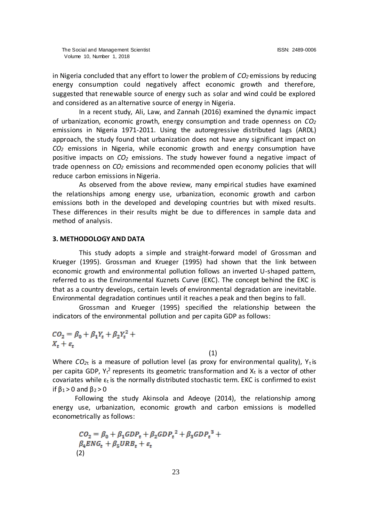in Nigeria concluded that any effort to lower the problem of *CO<sup>2</sup>* emissions by reducing energy consumption could negatively affect economic growth and therefore, suggested that renewable source of energy such as solar and wind could be explored and considered as an alternative source of energy in Nigeria.

In a recent study, Ali, Law, and Zannah (2016) examined the dynamic impact of urbanization, economic growth, energy consumption and trade openness on *CO<sup>2</sup>* emissions in Nigeria 1971-2011. Using the autoregressive distributed lags (ARDL) approach, the study found that urbanization does not have any significant impact on *CO<sup>2</sup>* emissions in Nigeria, while economic growth and energy consumption have positive impacts on *CO<sup>2</sup>* emissions. The study however found a negative impact of trade openness on *CO<sup>2</sup>* emissions and recommended open economy policies that will reduce carbon emissions in Nigeria.

As observed from the above review, many empirical studies have examined the relationships among energy use, urbanization, economic growth and carbon emissions both in the developed and developing countries but with mixed results. These differences in their results might be due to differences in sample data and method of analysis.

## **3. METHODOLOGY AND DATA**

This study adopts a simple and straight-forward model of Grossman and Krueger (1995). Grossman and Krueger (1995) had shown that the link between economic growth and environmental pollution follows an inverted U-shaped pattern, referred to as the Environmental Kuznets Curve (EKC). The concept behind the EKC is that as a country develops, certain levels of environmental degradation are inevitable. Environmental degradation continues until it reaches a peak and then begins to fall.

Grossman and Krueger (1995) specified the relationship between the indicators of the environmental pollution and per capita GDP as follows:

$$
CO_2 = \beta_0 + \beta_1 Y_t + \beta_2 Y_t^2 +
$$
  

$$
X_t + \varepsilon_t
$$

(1)

Where  $CO_{2t}$  is a measure of pollution level (as proxy for environmental quality),  $Y_t$  is per capita GDP,  $Y_t^2$  represents its geometric transformation and  $X_t$  is a vector of other covariates while  $\varepsilon_t$  is the normally distributed stochastic term. EKC is confirmed to exist if  $\beta_1$  > 0 and  $\beta_2$  > 0

Following the study Akinsola and Adeoye (2014), the relationship among energy use, urbanization, economic growth and carbon emissions is modelled econometrically as follows:

$$
CO2 = \beta0 + \beta1 GDPt + \beta2 GDPt2 + \beta3 GDPt3 + \beta4ENGt + \beta5URBt + \varepsilont
$$
\n(2)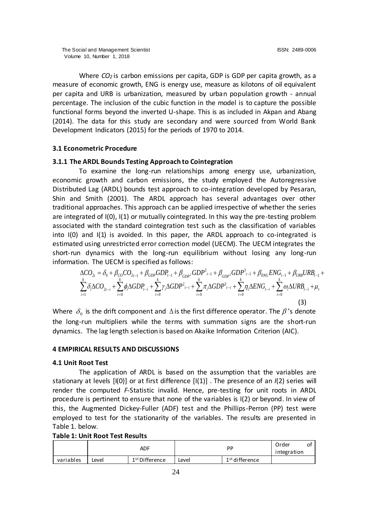Where *CO<sup>2</sup>* is carbon emissions per capita, GDP is GDP per capita growth, as a measure of economic growth, ENG is energy use, measure as kilotons of oil equivalent per capita and URB is urbanization, measured by urban population growth - annual percentage. The inclusion of the cubic function in the model is to capture the possible functional forms beyond the inverted U-shape. This is as included in Akpan and Abang (2014). The data for this study are secondary and were sourced from World Bank Development Indicators (2015) for the periods of 1970 to 2014.

# **3.1 Econometric Procedure**

# **3.1.1 The ARDL Bounds Testing Approach to Cointegration**

To examine the long-run relationships among energy use, urbanization, economic growth and carbon emissions, the study employed the Autoregressive Distributed Lag (ARDL) bounds test approach to co-integration developed by Pesaran, Shin and Smith (2001). The ARDL approach has several advantages over other traditional approaches. This approach can be applied irrespective of whether the series are integrated of I(0), I(1) or mutually cointegrated. In this way the pre-testing problem associated with the standard cointegration test such as the classification of variables into I(0) and I(1) is avoided. In this paper, the ARDL approach to co-integrated is estimated using unrestricted error correction model (UECM). The UECM integrates the short-run dynamics with the long-run equilibrium without losing any long-run information. The UECM is specified as follows:

$$
\Delta CO_{2t} = \delta_0 + \beta_{CO} CO_{2t-1} + \beta_{GDP} GDP_{t-1} + \beta_{GDP^2} GDP_{t-1}^2 + \beta_{GDP^3} GDP_{t-1}^3 + \beta_{ENG} ENG_{t-1} + \beta_{URB} URB_{t-1} + \sum_{i=0}^{k} \delta_i \Delta CO_{2t-i} + \sum_{i=0}^{k} \phi_i \Delta GDP_{t-i} + \sum_{i=0}^{k} \gamma_i \Delta GDP_{t-i}^2 + \sum_{i=0}^{k} \pi_i \Delta GDP_{t-i}^3 + \sum_{i=0}^{k} \eta_i \Delta ENG_{t-i} + \sum_{i=0}^{k} \omega_i \Delta URB_{t-i} + \mu_t
$$
\n(3)

Where  $\delta_0$  is the drift component and  $\Delta$  is the first difference operator. The  $\beta$  's denote the long-run multipliers while the terms with summation signs are the short-run dynamics. The lag length selection is based on Akaike Information Criterion (AIC).

#### **4 EMPIRICAL RESULTS AND DISCUSSIONS**

# **4.1 Unit Root Test**

The application of ARDL is based on the assumption that the variables are stationary at levels [I(0)] or at first difference [I(1)] . The presence of an *I*(2) series will render the computed *F*-Statistic invalid. Hence, pre-testing for unit roots in ARDL procedure is pertinent to ensure that none of the variables is I(2) or beyond. In view of this, the Augmented Dickey-Fuller (ADF) test and the Phillips-Perron (PP) test were employed to test for the stationarity of the variables. The results are presented in Table 1. below.

# **Table 1: Unit Root Test Results**

|           |       | <b>ADF</b>                 | РP    |                            | Order       | ົ<br>ັ |
|-----------|-------|----------------------------|-------|----------------------------|-------------|--------|
|           |       |                            |       |                            | integration |        |
| variables | Level | 1 <sup>st</sup> Difference | Level | 1 <sup>st</sup> difference |             |        |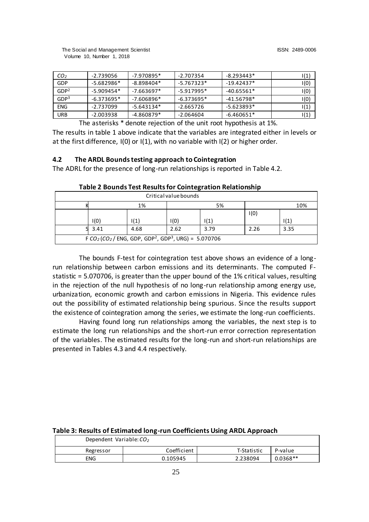| CO <sub>2</sub>  | -2.739056    | $-7.970895*$ | -2.707354    | $-8.293443*$ | I(1)  |
|------------------|--------------|--------------|--------------|--------------|-------|
| GDP              | $-5.682986*$ | $-8.898404*$ | -5.767323*   | $-19.42437*$ | I (O) |
| GDP <sup>2</sup> | $-5.909454*$ | -7.663697*   | $-5.917995*$ | $-40.65561*$ | (0)ا  |
| GDP <sup>3</sup> | $-6.373695*$ | $-7.606896*$ | $-6.373695*$ | $-41.56798*$ | (0)ا  |
| <b>ENG</b>       | -2.737099    | $-5.643134*$ | $-2.665726$  | $-5.623893*$ | I(1)  |
| URB              | -2.003938    | $-4.860879*$ | -2.064604    | $-6.460651*$ | (1)   |

The asterisks \* denote rejection of the unit root hypothesis at 1%.

The results in table 1 above indicate that the variables are integrated either in levels or at the first difference, I(0) or I(1), with no variable with I(2) or higher order.

# **4.2 The ARDL Bounds testing approach to Cointegration**

The ADRL for the presence of long-run relationships is reported in Table 4.2.

| ັ                                                                                           |       |      |      |      |      |                 |
|---------------------------------------------------------------------------------------------|-------|------|------|------|------|-----------------|
| Critical value bounds                                                                       |       |      |      |      |      |                 |
|                                                                                             |       | 1%   |      | 5%   |      | 10%             |
|                                                                                             |       |      |      |      | I(0) |                 |
|                                                                                             | I(0)  | 1(1) | I(0) | 1(1) |      | $\mathsf{I}(1)$ |
|                                                                                             | 53.41 | 4.68 | 2.62 | 3.79 | 2.26 | 3.35            |
| F $CO_2$ (CO <sub>2</sub> / ENG, GDP, GDP <sup>2</sup> , GDP <sup>3</sup> , URG) = 5.070706 |       |      |      |      |      |                 |

**Table 2 Bounds Test Results for Cointegration Relationship**

The bounds F-test for cointegration test above shows an evidence of a longrun relationship between carbon emissions and its determinants. The computed Fstatistic = 5.070706, is greater than the upper bound of the 1% critical values, resulting in the rejection of the null hypothesis of no long-run relationship among energy use, urbanization, economic growth and carbon emissions in Nigeria. This evidence rules out the possibility of estimated relationship being spurious. Since the results support the existence of cointegration among the series, we estimate the long-run coefficients.

Having found long run relationships among the variables, the next step is to estimate the long run relationships and the short-run error correction representation of the variables. The estimated results for the long-run and short-run relationships are presented in Tables 4.3 and 4.4 respectively.

| <b>TODIC 3: RESURS OF ESCRIPTULE TORY TWIT COCHRUCITIS OSHIN ARDE APPROXUM</b> |             |             |            |  |  |  |
|--------------------------------------------------------------------------------|-------------|-------------|------------|--|--|--|
| Dependent Variable: CO <sub>2</sub>                                            |             |             |            |  |  |  |
| Regressor                                                                      | Coefficient | T-Statistic | P-value    |  |  |  |
| ENG                                                                            | 0.105945    | 2.238094    | $0.0368**$ |  |  |  |

# **Table 3: Results of Estimated long-run Coefficients Using ARDL Approach**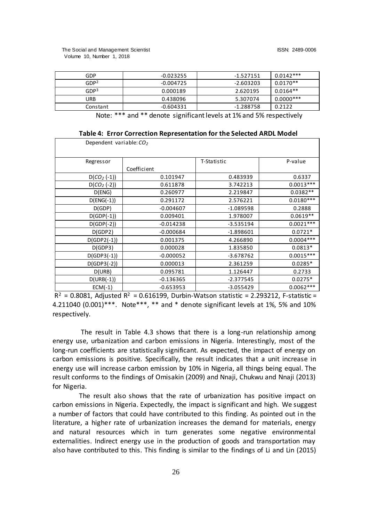The Social and Management Scientist ISSN: 2489-0006 Volume 10, Number 1, 2018

| GDP              | $-0.023255$ | -1.527151   | $0.0142***$ |
|------------------|-------------|-------------|-------------|
| GDP <sup>2</sup> | $-0.004725$ | $-2.603203$ | $0.0170**$  |
| GDP <sup>3</sup> | 0.000189    | 2.620195    | $0.0164**$  |
| URB              | 0.438096    | 5.307074    | $0.0000***$ |
| Constant         | -0.604331   | -1.288758   | 0.2122      |

Note: \*\*\* and \*\* denote significant levels at 1% and 5% respectively

| Table 4: Error Correction Representation for the Selected ARDL Model |  |  |  |
|----------------------------------------------------------------------|--|--|--|
|----------------------------------------------------------------------|--|--|--|

| Dependent variable: CO <sub>2</sub> |             |             |             |
|-------------------------------------|-------------|-------------|-------------|
| Regressor                           |             | T-Statistic | P-value     |
|                                     | Coefficient |             |             |
| $D(CO_2(-1))$                       | 0.101947    | 0.483939    | 0.6337      |
| $D(CO_2(-2))$                       | 0.611878    | 3.742213    | $0.0013***$ |
| D(ENG)                              | 0.260977    | 2.219847    | $0.0382**$  |
| $D(ENG(-1))$                        | 0.291172    | 2.576221    | $0.0180***$ |
| D(GDP)                              | $-0.004607$ | $-1.089598$ | 0.2888      |
| $D(GDP(-1))$                        | 0.009401    | 1.978007    | $0.0619**$  |
| $D(GDP(-2))$                        | $-0.014238$ | $-3.535194$ | $0.0021***$ |
| D(GDP2)                             | $-0.000684$ | $-1.898601$ | $0.0721*$   |
| $D(GDP2(-1))$                       | 0.001375    | 4.266890    | $0.0004***$ |
| D(GDP3)                             | 0.000028    | 1.835850    | $0.0813*$   |
| $D(GDP3(-1))$                       | $-0.000052$ | $-3.678762$ | $0.0015***$ |
| $D(GDP3(-2))$                       | 0.000013    | 2.361259    | $0.0285*$   |
| D(URB)                              | 0.095781    | 1.126447    | 0.2733      |
| $D(URB(-1))$                        | $-0.136365$ | $-2.377545$ | $0.0275*$   |
| $ECM(-1)$                           | $-0.653953$ | $-3.055429$ | $0.0062***$ |
| <u>ີ</u><br>.                       | 0.0000000   |             | .           |

 $R^2$  = 0.8081, Adjusted  $R^2$  = 0.616199, Durbin-Watson statistic = 2.293212, F-statistic = 4.211040 (0.001)\*\*\*. Note\*\*\*, \*\* and \* denote significant levels at 1%, 5% and 10% respectively.

The result in Table 4.3 shows that there is a long-run relationship among energy use, urbanization and carbon emissions in Nigeria. Interestingly, most of the long-run coefficients are statistically significant. As expected, the impact of energy on carbon emissions is positive. Specifically, the result indicates that a unit increase in energy use will increase carbon emission by 10% in Nigeria, all things being equal. The result conforms to the findings of Omisakin (2009) and Nnaji, Chukwu and Nnaji (2013) for Nigeria.

The result also shows that the rate of urbanization has positive impact on carbon emissions in Nigeria. Expectedly, the impact is significant and high. We suggest a number of factors that could have contributed to this finding. As pointed out in the literature, a higher rate of urbanization increases the demand for materials, energy and natural resources which in turn generates some negative environmental externalities. Indirect energy use in the production of goods and transportation may also have contributed to this. This finding is similar to the findings of Li and Lin (2015)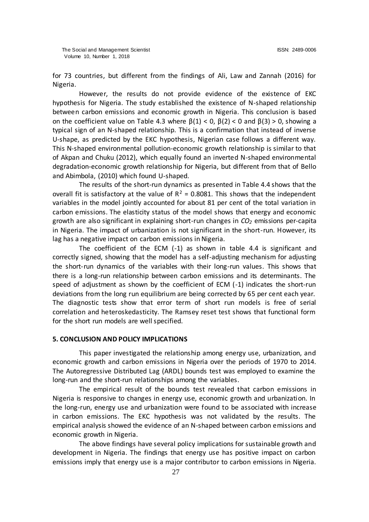for 73 countries, but different from the findings of Ali, Law and Zannah (2016) for Nigeria.

However, the results do not provide evidence of the existence of EKC hypothesis for Nigeria. The study established the existence of N-shaped relationship between carbon emissions and economic growth in Nigeria. This conclusion is based on the coefficient value on Table 4.3 where  $\beta(1) < 0$ ,  $\beta(2) < 0$  and  $\beta(3) > 0$ , showing a typical sign of an N-shaped relationship. This is a confirmation that instead of inverse U-shape, as predicted by the EKC hypothesis, Nigerian case follows a different way. This N-shaped environmental pollution-economic growth relationship is similar to that of Akpan and Chuku (2012), which equally found an inverted N-shaped environmental degradation-economic growth relationship for Nigeria, but different from that of Bello and Abimbola, (2010) which found U-shaped.

The results of the short-run dynamics as presented in Table 4.4 shows that the overall fit is satisfactory at the value of  $R^2 = 0.8081$ . This shows that the independent variables in the model jointly accounted for about 81 per cent of the total variation in carbon emissions. The elasticity status of the model shows that energy and economic growth are also significant in explaining short-run changes in *CO<sup>2</sup>* emissions per-capita in Nigeria. The impact of urbanization is not significant in the short-run. However, its lag has a negative impact on carbon emissions in Nigeria.

The coefficient of the ECM (-1) as shown in table 4.4 is significant and correctly signed, showing that the model has a self-adjusting mechanism for adjusting the short-run dynamics of the variables with their long-run values. This shows that there is a long-run relationship between carbon emissions and its determinants. The speed of adjustment as shown by the coefficient of ECM (-1) indicates the short-run deviations from the long run equilibrium are being corrected by 65 per cent each year. The diagnostic tests show that error term of short run models is free of serial correlation and heteroskedasticity. The Ramsey reset test shows that functional form for the short run models are well specified.

## **5. CONCLUSION AND POLICY IMPLICATIONS**

This paper investigated the relationship among energy use, urbanization, and economic growth and carbon emissions in Nigeria over the periods of 1970 to 2014. The Autoregressive Distributed Lag (ARDL) bounds test was employed to examine the long-run and the short-run relationships among the variables.

The empirical result of the bounds test revealed that carbon emissions in Nigeria is responsive to changes in energy use, economic growth and urbanization. In the long-run, energy use and urbanization were found to be associated with increase in carbon emissions. The EKC hypothesis was not validated by the results. The empirical analysis showed the evidence of an N-shaped between carbon emissions and economic growth in Nigeria.

The above findings have several policy implications for sustainable growth and development in Nigeria. The findings that energy use has positive impact on carbon emissions imply that energy use is a major contributor to carbon emissions in Nigeria.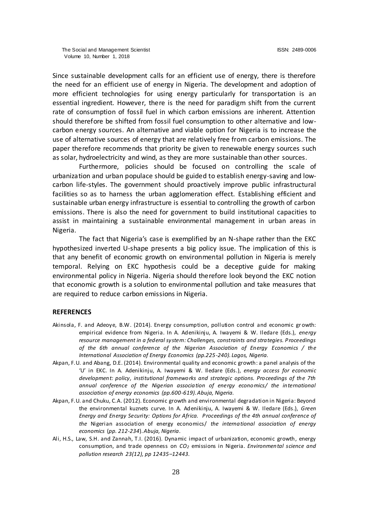Since sustainable development calls for an efficient use of energy, there is therefore the need for an efficient use of energy in Nigeria. The development and adoption of more efficient technologies for using energy particularly for transportation is an essential ingredient. However, there is the need for paradigm shift from the current rate of consumption of fossil fuel in which carbon emissions are inherent. Attention should therefore be shifted from fossil fuel consumption to other alternative and lowcarbon energy sources. An alternative and viable option for Nigeria is to increase the use of alternative sources of energy that are relatively free from carbon emissions. The paper therefore recommends that priority be given to renewable energy sources such as solar, hydroelectricity and wind, as they are more sustainable than other sources.

Furthermore, policies should be focused on controlling the scale of urbanization and urban populace should be guided to establish energy-saving and lowcarbon life-styles. The government should proactively improve public infrastructural facilities so as to harness the urban agglomeration effect. Establishing efficient and sustainable urban energy infrastructure is essential to controlling the growth of carbon emissions. There is also the need for government to build institutional capacities to assist in maintaining a sustainable environmental management in urban areas in Nigeria.

The fact that Nigeria's case is exemplified by an N-shape rather than the EKC hypothesized inverted U-shape presents a big policy issue. The implication of this is that any benefit of economic growth on environmental pollution in Nigeria is merely temporal. Relying on EKC hypothesis could be a deceptive guide for making environmental policy in Nigeria. Nigeria should therefore look beyond the EKC notion that economic growth is a solution to environmental pollution and take measures that are required to reduce carbon emissions in Nigeria.

#### **REFERENCES**

- Akinsola, F. and Adeoye, B.W. (2014). Energy consumption, pollution control and economic gr owth: empirical evidence from Nigeria. In A. Adenikinju, A. Iwayemi & W. Iledare (Eds.), *energy resource management in a federal system: Challenges, constraints and strategies. Proceedings of the 6th annual conference of the Nigerian Association of Energy Economics / the International Association of Energy Economics (pp.225-240). Lagos, Nigeria.*
- Akpan, F.U. and Abang, D.E. (2014). Environmental quality and economic growth: a panel analysis of the 'U' in EKC. In A. Adenikinju, A. Iwayemi & W. Iledare (Eds.), *energy access for economic development: policy, institutional frameworks and strategic options. Proceedings of the 7th annual conference of the Nigerian association of energy economics/ the international association of energy economics (pp.600-619). Abuja, Nigeria.*
- Akpan, F.U. and Chuku, C.A. (2012). Economic growth and environmental degradation in Nigeria: Beyond the environmental kuznets curve. In A. Adenikinju, A. Iwayemi & W. Iledare (Eds.), *Green Energy and Energy Security: Options for Africa. Proceedings of the 4th annual conference of the* Nigerian association of energy economics/ *the international association of energy economics* (*pp. 212-234*). *Abuja, Nigeria*.
- Ali, H.S., Law, S.H. and Zannah, T.I. (2016). Dynamic impact of urbanization, economic growth, energy consumption, and trade openness on *CO<sup>2</sup>* emissions in Nigeria. *Environmental science and pollution research 23(12), pp 12435–12443.*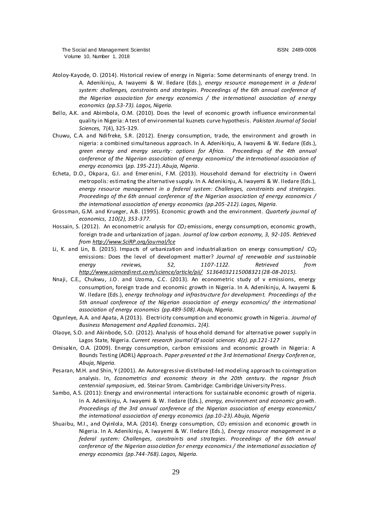- Atoloy-Kayode, O. (2014). Historical review of energy in Nigeria: Some determinants of energy trend. In A. Adenikinju, A. Iwayemi & W. Iledare (Eds.), *energy resource management in a federal system: challenges, constraints and strategies. Proceedings of the 6th annual conference of the Nigerian association for energy economics / the international association of energy economics (pp.53-73). Lagos, Nigeria.*
- Bello, A.K. and Abimbola, O.M. (2010). Does the level of economic growth influence environmental quality in Nigeria: A test of environmental kuznets curve hypothesis. *Pakistan Journal of Social Sciences,* 7(4), 325-329.
- Chuwu, C.A. and Ndifreke, S.R. (2012). Energy consumption, trade, the environment and growth in nigeria: a combined simultaneous approach. In A. Adenikinju, A. Iwayemi & W. Iledare (Eds.), *green energy and energy security: options for Africa. Proceedings of the 4th annual conference of the Nigerian association of energy economics/ the international association of energy economics* (*pp. 195-211*). *Abuja, Nigeria*.
- Echeta, D.O., Okpara, G.I. and Emerenini, F.M. (2013). Household demand for electricity in Owerri metropolis: estimating the alternative supply. In A. Adenikinju, A. Iwayemi & W. Iledare (Eds.), *energy resource management in a federal system: Challenges, constraints and strategies. Proceedings of the 6th annual conference of the Nigerian association of energy economics / the international association of energy economics (pp.205-212). Lagos, Nigeria.*
- Grossman, G.M. and Krueger, A.B. (1995). Economic growth and the environment. *Quarterly journal of economics*, *110(2), 353-377.*
- Hossain, S. (2012). An econometric analysis for *CO<sup>2</sup>* emissions, energy consumption, economic growth, foreign trade and urbanization of japan. *Journal of low carbon economy, 3, 92-105. Retrieved from [http://www.SciRP.org/journal/lce](http://www.scirp.org/journal/lce)*
- Li, K. and Lin, B. (2015). Impacts of urbanization and industrialization on energy consumption/ *CO<sup>2</sup>* emissions: Does the level of development matter? *Journal of renewable and sustainable energy reviews, 52, 1107-1122. Retrieved from <http://www.sciencedirect.com/science/article/pii/> S1364032115008321 (28-08-2015).*
- Nnaji, C.E., Chukwu, J.O. and Uzoma, C.C. (2013). An econometric study of v emissions, energy consumption, foreign trade and economic growth in Nigeria. In A. Adenikinju, A. Iwayemi & W. Iledare (Eds.), *energy technology and infrastructure for development. Proceedings of the 5th annual conference of the Nigerian association of energy economics/ the international association of energy economics (pp.489-508). Abuja, Nigeria.*
- Ogunleye, A.A. and Apata, A (2013). Electricity consumption and economic growth in Nigeria. *Journal of Business Management and Applied Economics***.** 2*(4).*
- Olaoye, S.O. and Akinbode, S.O. (2012). Analysis of hous ehold demand for alternative power supply in Lagos State, Nigeria. *Current research journal 0f social sciences 4(z). pp.121-127*
- Omisakin, O.A. (2009). Energy consumption, carbon emissions and economic growth in Nigeria: A Bounds Testing (ADRL) Approach. *Paper presented at the 3rd International Energy Conference, Abuja, Nigeria.*
- Pesaran, M.H. and Shin, Y (2001). An Autoregressive distributed-led modeling approach to cointegration analysis. In, *Econometrics and economic theory in the 20th century. the ragnar frisch centennial symposium*, ed. Steinar Strom. Cambridge: Cambridge University Press.
- Sambo, A.S. (2011): Energy and environmental interactions for sustainable economic growth of nigeria. In A. Adenikinju, A. Iwayemi & W. Iledare (Eds.), *energy, environment and economic growth. Proceedings of the 3rd annual conference of the Nigerian association of energy economics/ the international association of energy economics (pp.10-23). Abuja, Nigeria*
- Shuaibu, M.I., and Oyinlola, M.A. (2014). Energy consumption, *CO<sup>2</sup>* emission and economic growth in Nigeria. In A. Adenikinju, A. Iwayemi & W. Iledare (Eds.), *Energy resource management in a federal system: Challenges, constraints and strategies. Proceedings of the 6th annual conference of the Nigerian association for energy economics / the international association of energy economics (pp.744-768). Lagos, Nigeria.*